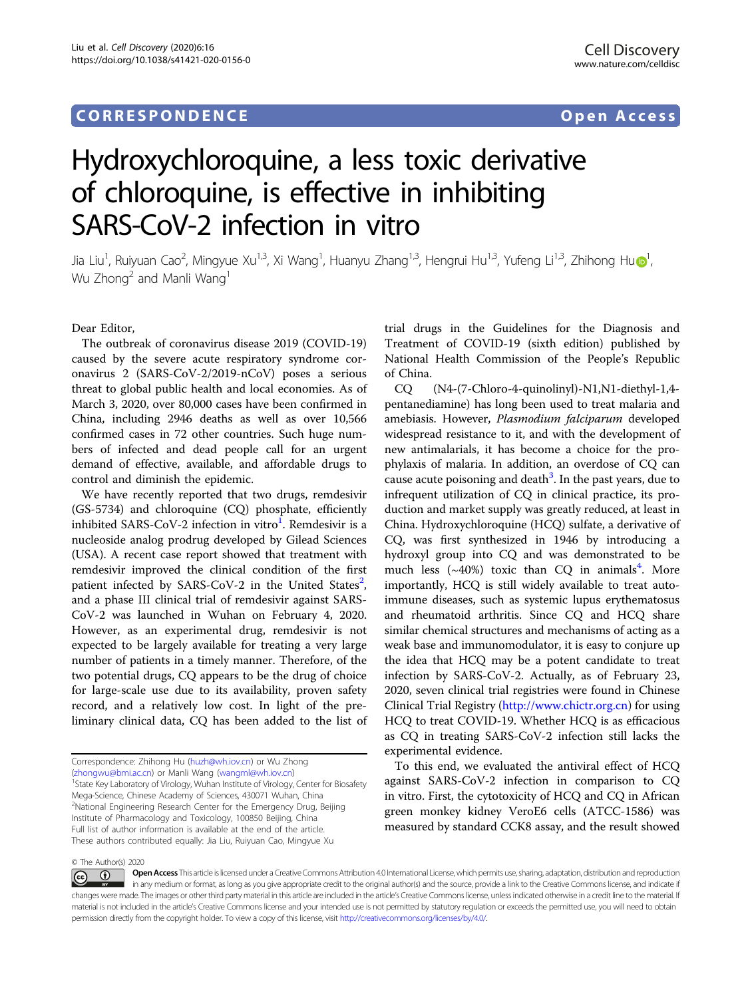## CORRESPONDENCE Open Access

# Hydroxychloroquine, a less toxic derivative of chloroquine, is effective in inhibiting SARS-CoV-2 infection in vitro

Jia Li[u](http://orcid.org/0000-0002-1560-0928)<sup>[1](http://orcid.org/0000-0002-1560-0928)</sup>, Ruiyuan Cao<sup>2</sup>, Mingyue Xu<sup>1,3</sup>, Xi Wang<sup>1</sup>, Huanyu Zhang<sup>1,3</sup>, Hengrui Hu<sup>1,3</sup>, Yufeng Li<sup>1,3</sup>, Zhihong Hu�<sup>1</sup> , Wu Zhong<sup>2</sup> and Manli Wang<sup>1</sup>

Dear Editor,

The outbreak of coronavirus disease 2019 (COVID-19) caused by the severe acute respiratory syndrome coronavirus 2 (SARS-CoV-2/2019-nCoV) poses a serious threat to global public health and local economies. As of March 3, 2020, over 80,000 cases have been confirmed in China, including 2946 deaths as well as over 10,566 confirmed cases in 72 other countries. Such huge numbers of infected and dead people call for an urgent demand of effective, available, and affordable drugs to control and diminish the epidemic.

We have recently reported that two drugs, remdesivir (GS-5734) and chloroquine (CQ) phosphate, efficiently inhibited SARS-CoV-2 infection in vitro $^{\rm l}$ . Remdesivir is a nucleoside analog prodrug developed by Gilead Sciences (USA). A recent case report showed that treatment with remdesivir improved the clinical condition of the first patient infected by SARS-CoV-[2](#page-3-0) in the United States<sup>2</sup>, and a phase III clinical trial of remdesivir against SARS-CoV-2 was launched in Wuhan on February 4, 2020. However, as an experimental drug, remdesivir is not expected to be largely available for treating a very large number of patients in a timely manner. Therefore, of the two potential drugs, CQ appears to be the drug of choice for large-scale use due to its availability, proven safety record, and a relatively low cost. In light of the preliminary clinical data, CQ has been added to the list of trial drugs in the Guidelines for the Diagnosis and Treatment of COVID-19 (sixth edition) published by National Health Commission of the People's Republic of China.

CQ (N4-(7-Chloro-4-quinolinyl)-N1,N1-diethyl-1,4 pentanediamine) has long been used to treat malaria and amebiasis. However, Plasmodium falciparum developed widespread resistance to it, and with the development of new antimalarials, it has become a choice for the prophylaxis of malaria. In addition, an overdose of CQ can cause acute poisoning and death<sup>[3](#page-3-0)</sup>. In the past years, due to infrequent utilization of CQ in clinical practice, its production and market supply was greatly reduced, at least in China. Hydroxychloroquine (HCQ) sulfate, a derivative of CQ, was first synthesized in 1946 by introducing a hydroxyl group into CQ and was demonstrated to be much less  $({\sim}40\%)$  $({\sim}40\%)$  $({\sim}40\%)$  toxic than CQ in animals<sup>4</sup>. More importantly, HCQ is still widely available to treat autoimmune diseases, such as systemic lupus erythematosus and rheumatoid arthritis. Since CQ and HCQ share similar chemical structures and mechanisms of acting as a weak base and immunomodulator, it is easy to conjure up the idea that HCQ may be a potent candidate to treat infection by SARS-CoV-2. Actually, as of February 23, 2020, seven clinical trial registries were found in Chinese Clinical Trial Registry [\(http://www.chictr.org.cn](http://www.chictr.org.cn)) for using HCQ to treat COVID-19. Whether HCQ is as efficacious as CQ in treating SARS-CoV-2 infection still lacks the experimental evidence.

To this end, we evaluated the antiviral effect of HCQ against SARS-CoV-2 infection in comparison to CQ in vitro. First, the cytotoxicity of HCQ and CQ in African green monkey kidney VeroE6 cells (ATCC-1586) was measured by standard CCK8 assay, and the result showed

© The Author(s) 2020

Correspondence: Zhihong Hu ([huzh@wh.iov.cn\)](mailto:huzh@wh.iov.cn) or Wu Zhong ([zhongwu@bmi.ac.cn](mailto:zhongwu@bmi.ac.cn)) or Manli Wang ([wangml@wh.iov.cn\)](mailto:wangml@wh.iov.cn) <sup>1</sup>

<sup>&</sup>lt;sup>1</sup> State Key Laboratory of Virology, Wuhan Institute of Virology, Center for Biosafety Mega-Science, Chinese Academy of Sciences, 430071 Wuhan, China <sup>2</sup>National Engineering Research Center for the Emergency Drug, Beijing Institute of Pharmacology and Toxicology, 100850 Beijing, China Full list of author information is available at the end of the article. These authors contributed equally: Jia Liu, Ruiyuan Cao, Mingyue Xu

Open Access This article is licensed under a Creative Commons Attribution 4.0 International License, which permits use, sharing, adaptation, distribution and reproduction  $\odot$  $\left[{\rm (cc)}\right]$ in any medium or format, as long as you give appropriate credit to the original author(s) and the source, provide a link to the Creative Commons license, and indicate if changes were made. The images or other third party material in this article are included in the article's Creative Commons license, unless indicated otherwise in a credit line to the material. If material is not included in the article's Creative Commons license and your intended use is not permitted by statutory regulation or exceeds the permitted use, you will need to obtain permission directly from the copyright holder. To view a copy of this license, visit <http://creativecommons.org/licenses/by/4.0/>.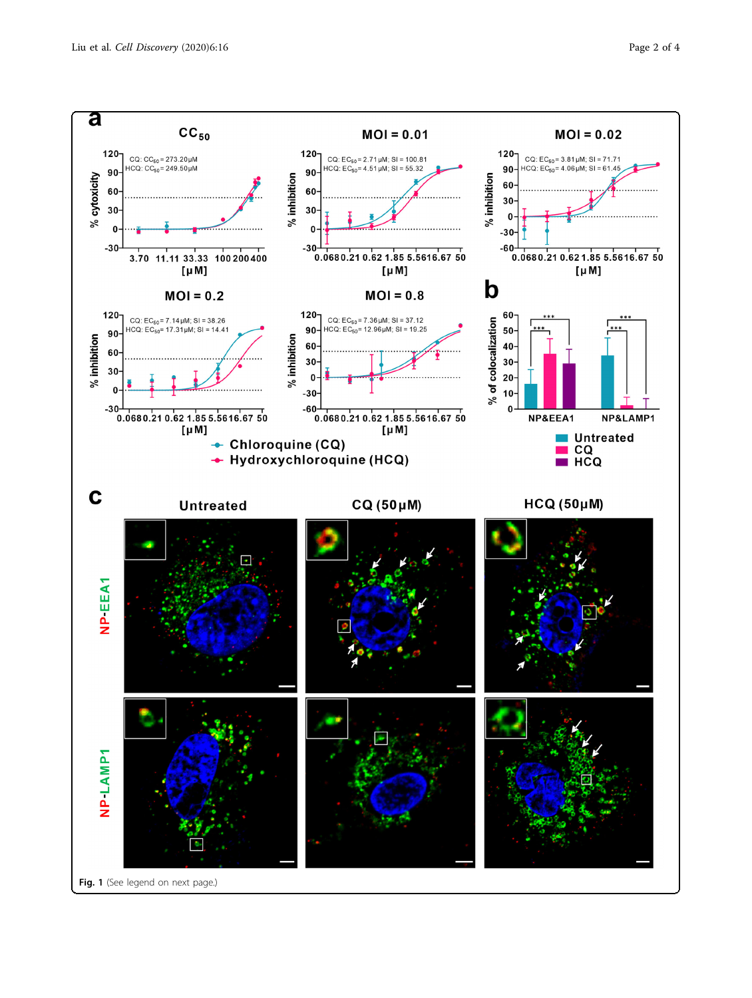<span id="page-1-0"></span>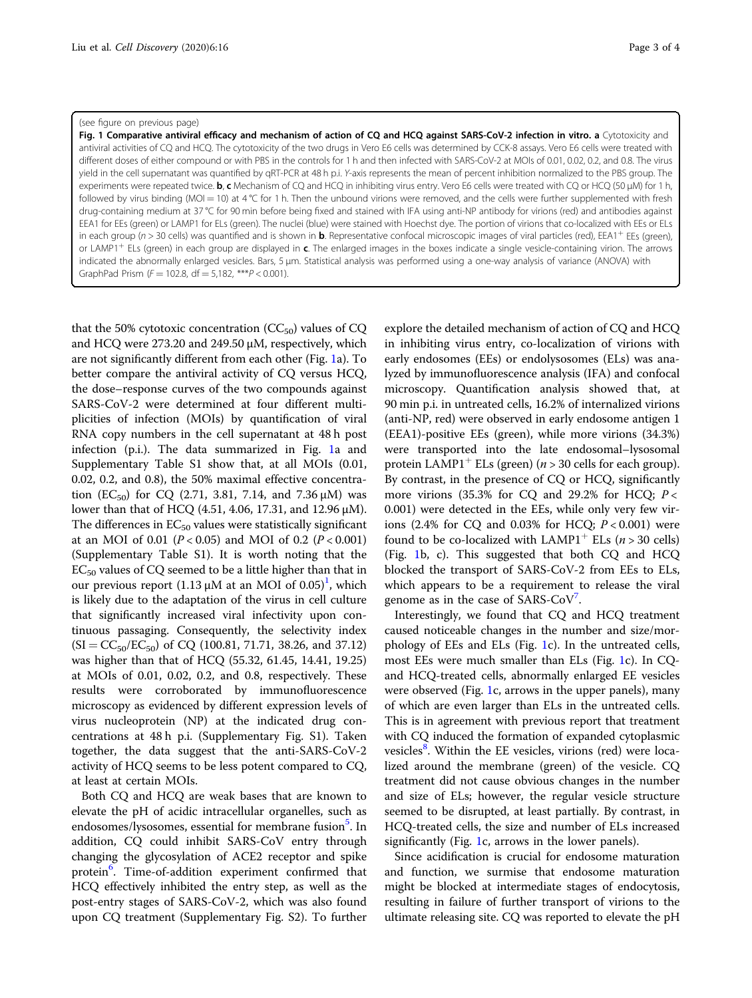#### (see figure on previous page)

Fig. 1 Comparative antiviral efficacy and mechanism of action of CQ and HCQ against SARS-CoV-2 infection in vitro. a Cytotoxicity and antiviral activities of CQ and HCQ. The cytotoxicity of the two drugs in Vero E6 cells was determined by CCK-8 assays. Vero E6 cells were treated with different doses of either compound or with PBS in the controls for 1 h and then infected with SARS-CoV-2 at MOIs of 0.01, 0.02, 0.2, and 0.8. The virus yield in the cell supernatant was quantified by qRT-PCR at 48 h p.i. Y-axis represents the mean of percent inhibition normalized to the PBS group. The experiments were repeated twice. b, c Mechanism of CQ and HCQ in inhibiting virus entry. Vero E6 cells were treated with CQ or HCQ (50 μM) for 1 h, followed by virus binding (MOI = 10) at 4 °C for 1 h. Then the unbound virions were removed, and the cells were further supplemented with fresh drug-containing medium at 37 °C for 90 min before being fixed and stained with IFA using anti-NP antibody for virions (red) and antibodies against EEA1 for EEs (green) or LAMP1 for ELs (green). The nuclei (blue) were stained with Hoechst dye. The portion of virions that co-localized with EEs or ELs in each group ( $n > 30$  cells) was quantified and is shown in **b**. Representative confocal microscopic images of viral particles (red), EEA1<sup>+</sup> EEs (green), or LAMP1<sup>+</sup> ELs (green) in each group are displayed in c. The enlarged images in the boxes indicate a single vesicle-containing virion. The arrows indicated the abnormally enlarged vesicles. Bars, 5 μm. Statistical analysis was performed using a one-way analysis of variance (ANOVA) with GraphPad Prism ( $F = 102.8$ , df = 5,182, \*\*\* $P < 0.001$ ).

that the 50% cytotoxic concentration  $(CC_{50})$  values of CQ and HCQ were 273.20 and 249.50 μM, respectively, which are not significantly different from each other (Fig. [1a](#page-1-0)). To better compare the antiviral activity of CQ versus HCQ, the dose–response curves of the two compounds against SARS-CoV-2 were determined at four different multiplicities of infection (MOIs) by quantification of viral RNA copy numbers in the cell supernatant at 48 h post infection (p.i.). The data summarized in Fig. [1](#page-1-0)a and Supplementary Table S1 show that, at all MOIs (0.01, 0.02, 0.2, and 0.8), the 50% maximal effective concentration (EC<sub>50</sub>) for CQ (2.71, 3.81, 7.14, and 7.36  $\mu$ M) was lower than that of HCQ (4.51, 4.06, 17.31, and 12.96 μM). The differences in  $EC_{50}$  values were statistically significant at an MOI of 0.01 ( $P < 0.05$ ) and MOI of 0.2 ( $P < 0.001$ ) (Supplementary Table S1). It is worth noting that the  $EC_{50}$  values of CQ seemed to be a little higher than that in our previous report (1.13  $\mu$ M at an MOI of 0.05)<sup>1</sup>, which is likely due to the adaptation of the virus in cell culture that significantly increased viral infectivity upon continuous passaging. Consequently, the selectivity index  $(SI = CC_{50}/EC_{50})$  of CQ (100.81, 71.71, 38.26, and 37.12) was higher than that of HCQ (55.32, 61.45, 14.41, 19.25) at MOIs of 0.01, 0.02, 0.2, and 0.8, respectively. These results were corroborated by immunofluorescence microscopy as evidenced by different expression levels of virus nucleoprotein (NP) at the indicated drug concentrations at 48 h p.i. (Supplementary Fig. S1). Taken together, the data suggest that the anti-SARS-CoV-2 activity of HCQ seems to be less potent compared to CQ, at least at certain MOIs.

Both CQ and HCQ are weak bases that are known to elevate the pH of acidic intracellular organelles, such as endosomes/lysosomes, essential for membrane fusion<sup>5</sup>. In addition, CQ could inhibit SARS-CoV entry through changing the glycosylation of ACE2 receptor and spike protein<sup>[6](#page-3-0)</sup>. Time-of-addition experiment confirmed that HCQ effectively inhibited the entry step, as well as the post-entry stages of SARS-CoV-2, which was also found upon CQ treatment (Supplementary Fig. S2). To further

explore the detailed mechanism of action of CQ and HCQ in inhibiting virus entry, co-localization of virions with early endosomes (EEs) or endolysosomes (ELs) was analyzed by immunofluorescence analysis (IFA) and confocal microscopy. Quantification analysis showed that, at 90 min p.i. in untreated cells, 16.2% of internalized virions (anti-NP, red) were observed in early endosome antigen 1 (EEA1)-positive EEs (green), while more virions (34.3%) were transported into the late endosomal–lysosomal protein LAMP1<sup>+</sup> ELs (green) ( $n > 30$  cells for each group). By contrast, in the presence of CQ or HCQ, significantly more virions (35.3% for CQ and 29.2% for HCQ;  $P <$ 0.001) were detected in the EEs, while only very few virions (2.4% for CQ and 0.03% for HCQ;  $P < 0.001$ ) were found to be co-localized with LAMP1<sup>+</sup> ELs ( $n > 30$  cells) (Fig. [1b](#page-1-0), c). This suggested that both CQ and HCQ blocked the transport of SARS-CoV-2 from EEs to ELs, which appears to be a requirement to release the viral genome as in the case of SARS-CoV<sup>[7](#page-3-0)</sup>.

Interestingly, we found that CQ and HCQ treatment caused noticeable changes in the number and size/morphology of EEs and ELs (Fig. [1c](#page-1-0)). In the untreated cells, most EEs were much smaller than ELs (Fig. [1](#page-1-0)c). In CQand HCQ-treated cells, abnormally enlarged EE vesicles were observed (Fig. [1c](#page-1-0), arrows in the upper panels), many of which are even larger than ELs in the untreated cells. This is in agreement with previous report that treatment with CQ induced the formation of expanded cytoplasmic vesicles<sup>[8](#page-3-0)</sup>. Within the EE vesicles, virions (red) were localized around the membrane (green) of the vesicle. CQ treatment did not cause obvious changes in the number and size of ELs; however, the regular vesicle structure seemed to be disrupted, at least partially. By contrast, in HCQ-treated cells, the size and number of ELs increased significantly (Fig. [1](#page-1-0)c, arrows in the lower panels).

Since acidification is crucial for endosome maturation and function, we surmise that endosome maturation might be blocked at intermediate stages of endocytosis, resulting in failure of further transport of virions to the ultimate releasing site. CQ was reported to elevate the pH